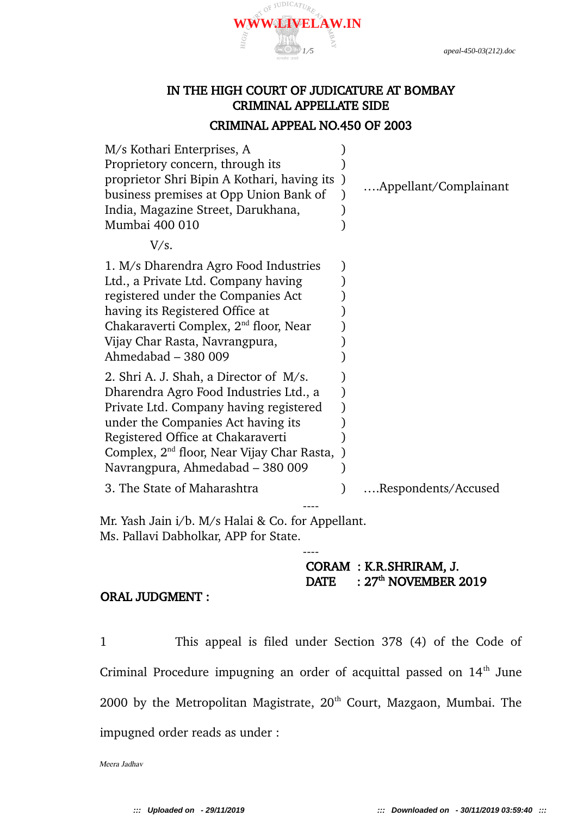

# IN THE HIGH COURT OF JUDICATURE AT BOMBAY CRIMINAL APPELLATE SIDE

#### CRIMINAL APPEAL NO.450 OF 2003

| M/s Kothari Enterprises, A                        |                       |
|---------------------------------------------------|-----------------------|
| Proprietory concern, through its                  |                       |
| proprietor Shri Bipin A Kothari, having its       | Appellant/Complainant |
| business premises at Opp Union Bank of            |                       |
| India, Magazine Street, Darukhana,                |                       |
| Mumbai 400 010                                    |                       |
| V/s.                                              |                       |
| 1. M/s Dharendra Agro Food Industries             |                       |
| Ltd., a Private Ltd. Company having               |                       |
| registered under the Companies Act                |                       |
| having its Registered Office at                   |                       |
| Chakaraverti Complex, 2 <sup>nd</sup> floor, Near |                       |
| Vijay Char Rasta, Navrangpura,                    |                       |
| Ahmedabad - 380 009                               |                       |
| 2. Shri A. J. Shah, a Director of M/s.            |                       |
| Dharendra Agro Food Industries Ltd., a            |                       |
| Private Ltd. Company having registered            |                       |
| under the Companies Act having its                |                       |
| Registered Office at Chakaraverti                 |                       |
| Complex, $2nd$ floor, Near Vijay Char Rasta,      |                       |
| Navrangpura, Ahmedabad - 380 009                  |                       |
| 3. The State of Maharashtra                       | Respondents/Accused   |
|                                                   |                       |

Mr. Yash Jain i/b. M/s Halai & Co. for Appellant. Ms. Pallavi Dabholkar, APP for State.

# CORAM : K.R.SHRIRAM, J.  $DATA: 27<sup>th</sup> NOVEMBER 2019$

#### ORAL JUDGMENT :

1 This appeal is filed under Section 378 (4) of the Code of Criminal Procedure impugning an order of acquittal passed on 14<sup>th</sup> June 2000 by the Metropolitan Magistrate,  $20<sup>th</sup>$  Court, Mazgaon, Mumbai. The impugned order reads as under :

----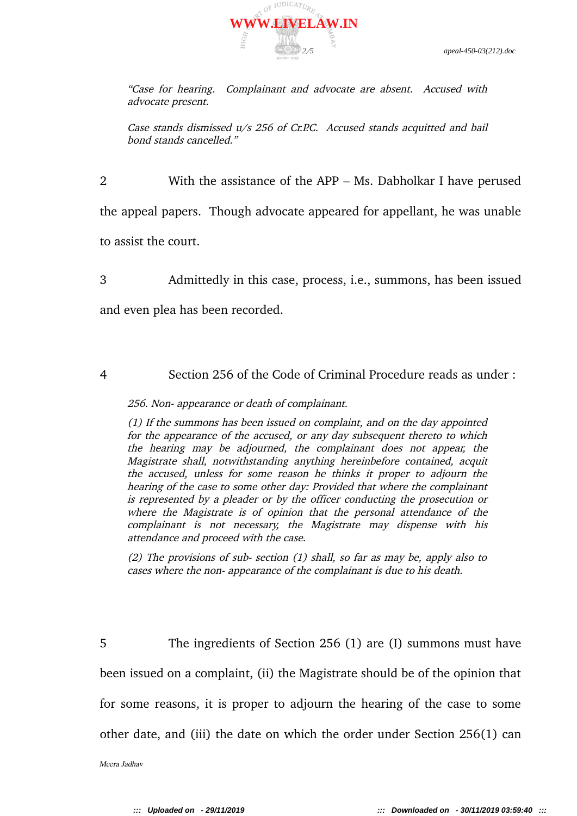

"Case for hearing. Complainant and advocate are absent. Accused with advocate present.

Case stands dismissed u/s 256 of Cr.P.C. Accused stands acquitted and bail bond stands cancelled."

2 With the assistance of the APP – Ms. Dabholkar I have perused the appeal papers. Though advocate appeared for appellant, he was unable to assist the court.

3 Admittedly in this case, process, i.e., summons, has been issued

and even plea has been recorded.

4 Section 256 of the Code of Criminal Procedure reads as under :

256. Non- appearance or death of complainant.

(1) If the summons has been issued on complaint, and on the day appointed for the appearance of the accused, or any day subsequent thereto to which the hearing may be adjourned, the complainant does not appear, the Magistrate shall, notwithstanding anything hereinbefore contained, acquit the accused, unless for some reason he thinks it proper to adjourn the hearing of the case to some other day: Provided that where the complainant is represented by a pleader or by the officer conducting the prosecution or where the Magistrate is of opinion that the personal attendance of the complainant is not necessary, the Magistrate may dispense with his attendance and proceed with the case.

(2) The provisions of sub- section (1) shall, so far as may be, apply also to cases where the non- appearance of the complainant is due to his death.

5 The ingredients of Section 256 (1) are (I) summons must have been issued on a complaint, (ii) the Magistrate should be of the opinion that for some reasons, it is proper to adjourn the hearing of the case to some other date, and (iii) the date on which the order under Section 256(1) can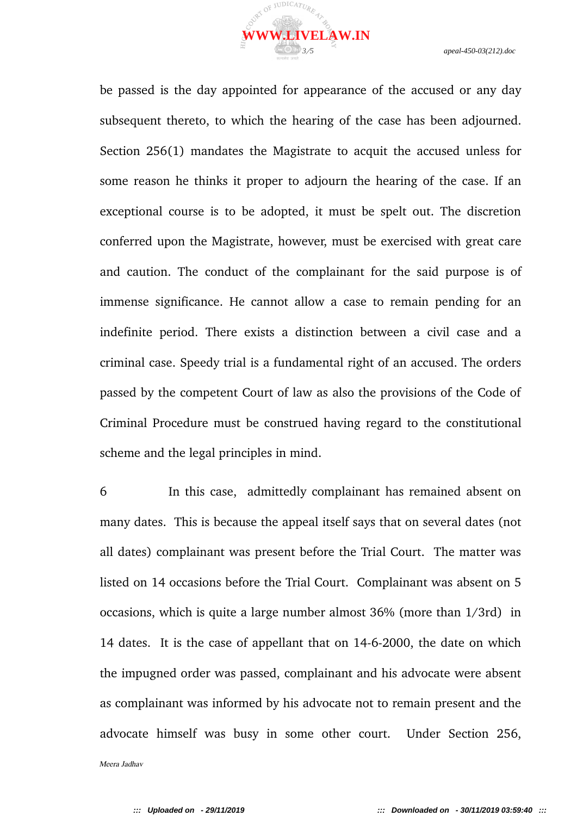

be passed is the day appointed for appearance of the accused or any day subsequent thereto, to which the hearing of the case has been adjourned. Section 256(1) mandates the Magistrate to acquit the accused unless for some reason he thinks it proper to adjourn the hearing of the case. If an exceptional course is to be adopted, it must be spelt out. The discretion conferred upon the Magistrate, however, must be exercised with great care and caution. The conduct of the complainant for the said purpose is of immense significance. He cannot allow a case to remain pending for an indefinite period. There exists a distinction between a civil case and a criminal case. Speedy trial is a fundamental right of an accused. The orders passed by the competent Court of law as also the provisions of the Code of Criminal Procedure must be construed having regard to the constitutional scheme and the legal principles in mind.

6 In this case, admittedly complainant has remained absent on many dates. This is because the appeal itself says that on several dates (not all dates) complainant was present before the Trial Court. The matter was listed on 14 occasions before the Trial Court. Complainant was absent on 5 occasions, which is quite a large number almost 36% (more than 1/3rd) in 14 dates. It is the case of appellant that on 14-6-2000, the date on which the impugned order was passed, complainant and his advocate were absent as complainant was informed by his advocate not to remain present and the advocate himself was busy in some other court. Under Section 256,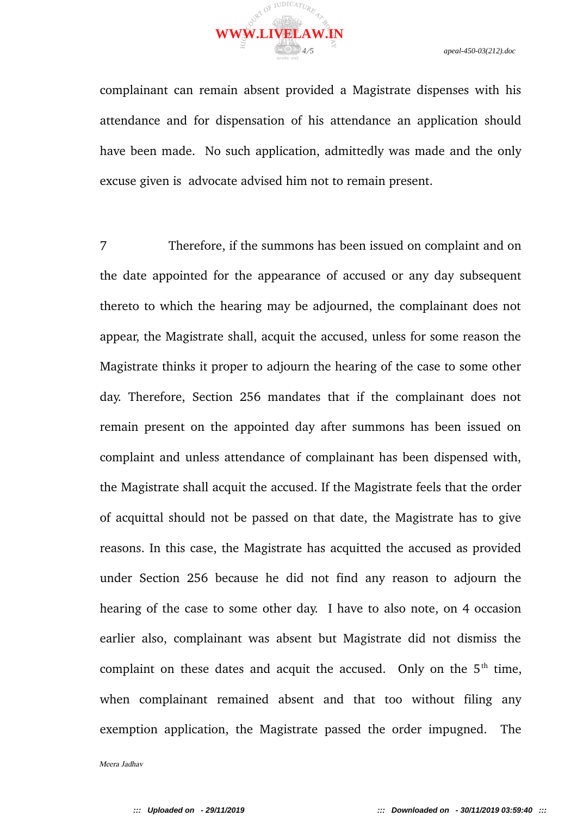

complainant can remain absent provided a Magistrate dispenses with his attendance and for dispensation of his attendance an application should have been made. No such application, admittedly was made and the only excuse given is advocate advised him not to remain present.

7 Therefore, if the summons has been issued on complaint and on the date appointed for the appearance of accused or any day subsequent thereto to which the hearing may be adjourned, the complainant does not appear, the Magistrate shall, acquit the accused, unless for some reason the Magistrate thinks it proper to adjourn the hearing of the case to some other day. Therefore, Section 256 mandates that if the complainant does not remain present on the appointed day after summons has been issued on complaint and unless attendance of complainant has been dispensed with, the Magistrate shall acquit the accused. If the Magistrate feels that the order of acquittal should not be passed on that date, the Magistrate has to give reasons. In this case, the Magistrate has acquitted the accused as provided under Section 256 because he did not find any reason to adjourn the hearing of the case to some other day. I have to also note, on 4 occasion earlier also, complainant was absent but Magistrate did not dismiss the complaint on these dates and acquit the accused. Only on the  $5<sup>th</sup>$  time, when complainant remained absent and that too without filing any exemption application, the Magistrate passed the order impugned. The